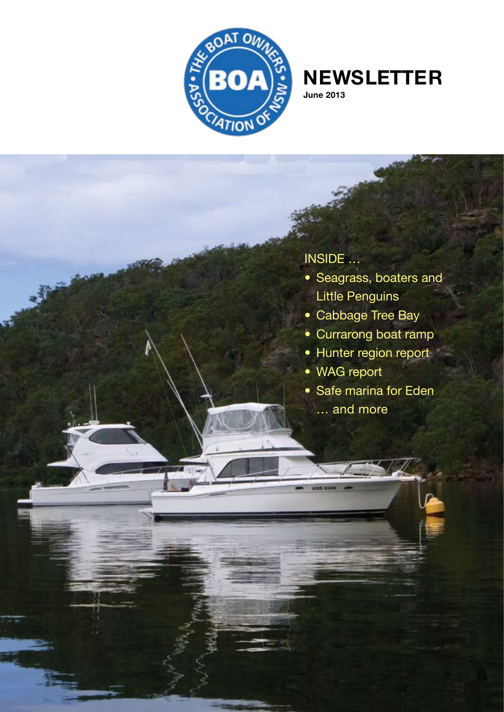

## **Newsletter**

**June 2013**

## Inside …

- Seagrass, boaters and Little Penguins
- Cabbage Tree Bay
- Currarong boat ramp
- Hunter region report
- WAG report
- Safe marina for Eden
	- … and more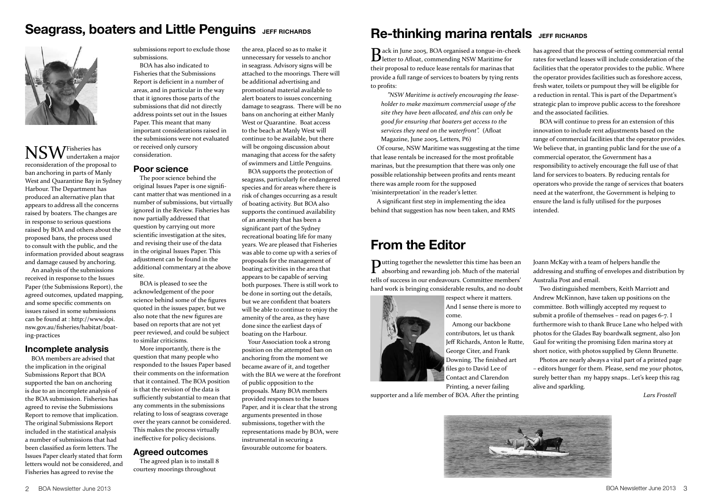## **Seagrass, boaters and Little Penguins JEFF RICHARDS**



NSW Fisheries has undertaken a major reconsideration of the proposal to ban anchoring in parts of Manly West and Quarantine Bay in Sydney Harbour. The Department has produced an alternative plan that appears to address all the concerns raised by boaters. The changes are in response to serious questions raised by BOA and others about the proposed bans, the process used to consult with the public, and the information provided about seagrass and damage caused by anchoring.

An analysis of the submissions received in response to the Issues Paper (the Submissions Report), the agreed outcomes, updated mapping, and some specific comments on issues raised in some submissions can be found at : http://www.dpi. nsw.gov.au/fisheries/habitat/boating-practices

### **Incomplete analysis**

BOA members are advised that the implication in the original Submissions Report that BOA supported the ban on anchoring is due to an incomplete analysis of the BOA submission. Fisheries has agreed to revise the Submissions Report to remove that implication. The original Submissions Report included in the statistical analysis a number of submissions that had been classified as form letters. The Issues Paper clearly stated that form letters would not be considered, and Fisheries has agreed to revise the

submissions report to exclude those submissions. BOA has also indicated to

Fisheries that the Submissions Report is deficient in a number of areas, and in particular in the way that it ignores those parts of the submissions that did not directly address points set out in the Issues Paper. This meant that many important considerations raised in the submissions were not evaluated or received only cursory consideration.

### **Poor science**

The poor science behind the original Issues Paper is one significant matter that was mentioned in a number of submissions, but virtually ignored in the Review. Fisheries has now partially addressed that question by carrying out more scientific investigation at the sites, and revising their use of the data in the original Issues Paper. This adjustment can be found in the additional commentary at the above site.

BOA is pleased to see the acknowledgement of the poor science behind some of the figures quoted in the issues paper, but we also note that the new figures are based on reports that are not yet peer reviewed, and could be subject to similar criticisms.

More importantly, there is the question that many people who responded to the Issues Paper based their comments on the information that it contained. The BOA position is that the revision of the data is sufficiently substantial to mean that any comments in the submissions relating to loss of seagrass coverage over the years cannot be considered. This makes the process virtually ineffective for policy decisions.

#### **Agreed outcomes**

The agreed plan is to install 8 courtesy moorings throughout

the area, placed so as to make it unnecessary for vessels to anchor in seagrass. Advisory signs will be attached to the moorings. There will be additional advertising and promotional material available to alert boaters to issues concerning damage to seagrass. There will be no bans on anchoring at either Manly West or Quarantine. Boat access to the beach at Manly West will continue to be available, but there will be ongoing discussion about managing that access for the safety of swimmers and Little Penguins.

BOA supports the protection of seagrass, particularly for endangered species and for areas where there is risk of changes occurring as a result of boating activity. But BOA also supports the continued availability of an amenity that has been a significant part of the Sydney recreational boating life for many years. We are pleased that Fisheries was able to come up with a series of proposals for the management of boating activities in the area that appears to be capable of serving both purposes. There is still work to be done in sorting out the details, but we are confident that boaters will be able to continue to enjoy the amenity of the area, as they have done since the earliest days of boating on the Harbour.

Your Association took a strong position on the attempted ban on anchoring from the moment we became aware of it, and together with the BIA we were at the forefront of public opposition to the proposals. Many BOA members provided responses to the Issues Paper, and it is clear that the strong arguments presented in those submissions, together with the representations made by BOA, were instrumental in securing a favourable outcome for boaters.

## **Re-thinking marina rentals** JEFF RICHARDS

Back in June 2005, BOA organised a tongue-in-cheek letter to Afloat, commending NSW Maritime for their proposal to reduce lease rentals for marinas that provide a full range of services to boaters by tying rents to profits:

*"NSW Maritime is actively encouraging the leaseholder to make maximum commercial usage of the site they have been allocated, and this can only be good for ensuring that boaters get access to the services they need on the waterfront".* (Afloat Magazine, June 2005, Letters, P6)

Of course, NSW Maritime was suggesting at the time that lease rentals be increased for the most profitable marinas, but the presumption that there was only one possible relationship between profits and rents meant there was ample room for the supposed 'misinterpretation' in the reader's letter.

A significant first step in implementing the idea behind that suggestion has now been taken, and RMS

## **From the Editor**

Putting together the newsletter this time has been an absorbing and rewarding job. Much of the material tells of success in our endeavours. Committee members' hard work is bringing considerable results, and no doubt



respect where it matters. And I sense there is more to come.

Among our backbone contributors, let us thank Jeff Richards, Anton le Rutte, George Citer, and Frank Downing. The finished art files go to David Lee of Contact and Clarendon Printing, a never failing

supporter and a life member of BOA. After the printing

has agreed that the process of setting commercial rental rates for wetland leases will include consideration of the facilities that the operator provides to the public. Where the operator provides facilities such as foreshore access, fresh water, toilets or pumpout they will be eligible for a reduction in rental. This is part of the Department's strategic plan to improve public access to the foreshore and the associated facilities.

BOA will continue to press for an extension of this innovation to include rent adjustments based on the range of commercial facilities that the operator provides. We believe that, in granting public land for the use of a commercial operator, the Government has a responsibility to actively encourage the full use of that land for services to boaters. By reducing rentals for operators who provide the range of services that boaters need at the waterfront, the Government is helping to ensure the land is fully utilised for the purposes intended.

Joann McKay with a team of helpers handle the addressing and stuffing of envelopes and distribution by Australia Post and email.

Two distinguished members, Keith Marriott and Andrew McKinnon, have taken up positions on the committee. Both willingly accepted my request to submit a profile of themselves – read on pages 6-7. I furthermore wish to thank Bruce Lane who helped with photos for the Glades Bay boardwalk segment, also Jon Gaul for writing the promising Eden marina story at short notice, with photos supplied by Glenn Brunette.

Photos are nearly always a vital part of a printed page – editors hunger for them. Please, send me *your* photos, surely better than my happy snaps.. Let's keep this rag alive and sparkling.

*Lars Frostell*

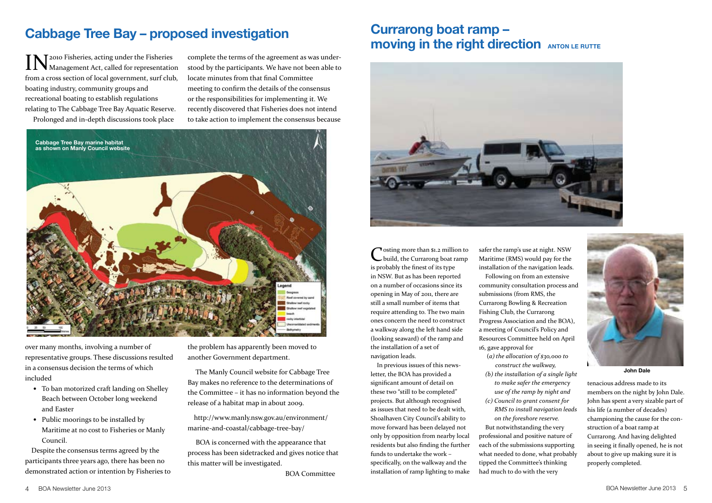## **Cabbage Tree Bay – proposed investigation**

**IN** T2010 Fisheries, acting under the Fisheries  $\prod$  **N** Management Act, called for representation from a cross section of local government, surf club, boating industry, community groups and recreational boating to establish regulations relating to The Cabbage Tree Bay Aquatic Reserve. Prolonged and in-depth discussions took place

complete the terms of the agreement as was understood by the participants. We have not been able to locate minutes from that final Committee meeting to confirm the details of the consensus or the responsibilities for implementing it. We recently discovered that Fisheries does not intend to take action to implement the consensus because



over many months, involving a number of representative groups. These discussions resulted in a consensus decision the terms of which included

- To ban motorized craft landing on Shelley Beach between October long weekend and Easter
- Public moorings to be installed by Maritime at no cost to Fisheries or Manly Council.

Despite the consensus terms agreed by the participants three years ago, there has been no demonstrated action or intention by Fisheries to the problem has apparently been moved to another Government department.

 The Manly Council website for Cabbage Tree Bay makes no reference to the determinations of the Committee – it has no information beyond the release of a habitat map in about 2009.

http://www.manly.nsw.gov.au/environment/ marine-and-coastal/cabbage-tree-bay/

 BOA is concerned with the appearance that process has been sidetracked and gives notice that this matter will be investigated.

BOA Committee

## **Currarong boat ramp – moving in the right direction ANTON LE RUTTE**

![](_page_2_Picture_14.jpeg)

Tosting more than \$1.2 million to build, the Currarong boat ramp is probably the finest of its type in NSW. But as has been reported on a number of occasions since its opening in May of 2011, there are still a small number of items that require attending to. The two main ones concern the need to construct a walkway along the left hand side (looking seaward) of the ramp and the installation of a set of navigation leads.

In previous issues of this newsletter, the BOA has provided a significant amount of detail on these two "still to be completed" projects. But although recognised as issues that need to be dealt with, Shoalhaven City Council's ability to move forward has been delayed not only by opposition from nearby local residents but also finding the further funds to undertake the work – specifically, on the walkway and the installation of ramp lighting to make

safer the ramp's use at night. NSW Maritime (RMS) would pay for the installation of the navigation leads.

Following on from an extensive community consultation process and submissions (from RMS, the Currarong Bowling & Recreation Fishing Club, the Currarong Progress Association and the BOA), a meeting of Council's Policy and Resources Committee held on April 16, gave approval for

- (*a) the allocation of \$30,000 to construct the walkway,*
- *(b) the installation of a single light to make safer the emergency use of the ramp by night and*
- *(c) Council to grant consent for RMS to install navigation leads*

*on the foreshore reserve.*  But notwithstanding the very professional and positive nature of each of the submissions supporting what needed to done, what probably tipped the Committee's thinking had much to do with the very

![](_page_2_Picture_23.jpeg)

**John Dale**

tenacious address made to its members on the night by John Dale. John has spent a very sizable part of his life (a number of decades) championing the cause for the construction of a boat ramp at Currarong. And having delighted in seeing it finally opened, he is not about to give up making sure it is properly completed.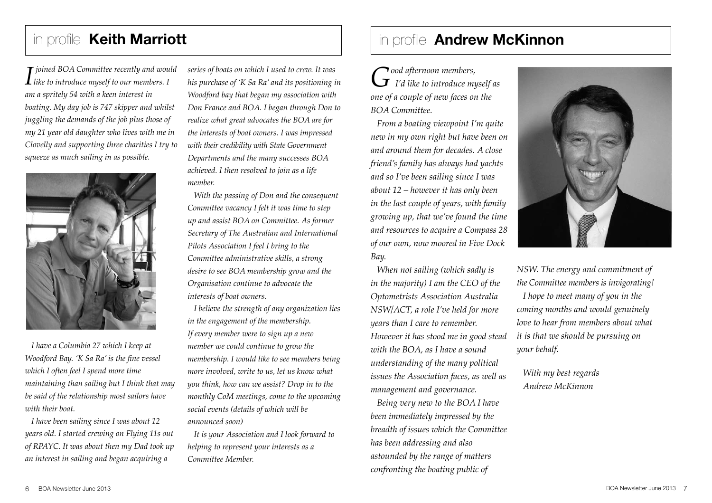# in profile **Keith Marriott**

*<i>I joined BOA Committee recently and would*<br>*Like to introduce myself to our members.* I *am a spritely 54 with a keen interest in boating. My day job is 747 skipper and whilst juggling the demands of the job plus those of my 21 year old daughter who lives with me in Clovelly and supporting three charities I try to squeeze as much sailing in as possible.* 

![](_page_3_Picture_2.jpeg)

*I have a Columbia 27 which I keep at Woodford Bay. 'K Sa Ra' is the fine vessel which I often feel I spend more time maintaining than sailing but I think that may be said of the relationship most sailors have with their boat.*

*I have been sailing since I was about 12 years old. I started crewing on Flying 11s out of RPAYC. It was about then my Dad took up an interest in sailing and began acquiring a* 

*series of boats on which I used to crew. It was his purchase of 'K Sa Ra' and its positioning in Woodford bay that began my association with Don France and BOA. I began through Don to realize what great advocates the BOA are for the interests of boat owners. I was impressed with their credibility with State Government Departments and the many successes BOA achieved. I then resolved to join as a life member.*

*With the passing of Don and the consequent Committee vacancy I felt it was time to step up and assist BOA on Committee. As former Secretary of The Australian and International Pilots Association I feel I bring to the Committee administrative skills, a strong desire to see BOA membership grow and the Organisation continue to advocate the interests of boat owners.* 

*I believe the strength of any organization lies in the engagement of the membership. If every member were to sign up a new member we could continue to grow the membership. I would like to see members being more involved, write to us, let us know what you think, how can we assist? Drop in to the monthly CoM meetings, come to the upcoming social events (details of which will be announced soon)*

*It is your Association and I look forward to helping to represent your interests as a Committee Member.*

# in profile **Andrew McKinnon**

*Good afternoon members, I'd like to introduce myself as one of a couple of new faces on the BOA Committee.*

*From a boating viewpoint I'm quite new in my own right but have been on and around them for decades. A close friend's family has always had yachts and so I've been sailing since I was about 12 – however it has only been in the last couple of years, with family growing up, that we've found the time and resources to acquire a Compass 28 of our own, now moored in Five Dock Bay.*

*When not sailing (which sadly is in the majority) I am the CEO of the Optometrists Association Australia NSW/ACT, a role I've held for more years than I care to remember. However it has stood me in good stead with the BOA, as I have a sound understanding of the many political issues the Association faces, as well as management and governance.*

*Being very new to the BOA I have been immediately impressed by the breadth of issues which the Committee has been addressing and also astounded by the range of matters confronting the boating public of* 

![](_page_3_Picture_14.jpeg)

*NSW. The energy and commitment of the Committee members is invigorating! I hope to meet many of you in the coming months and would genuinely love to hear from members about what it is that we should be pursuing on your behalf.*

*With my best regards Andrew McKinnon*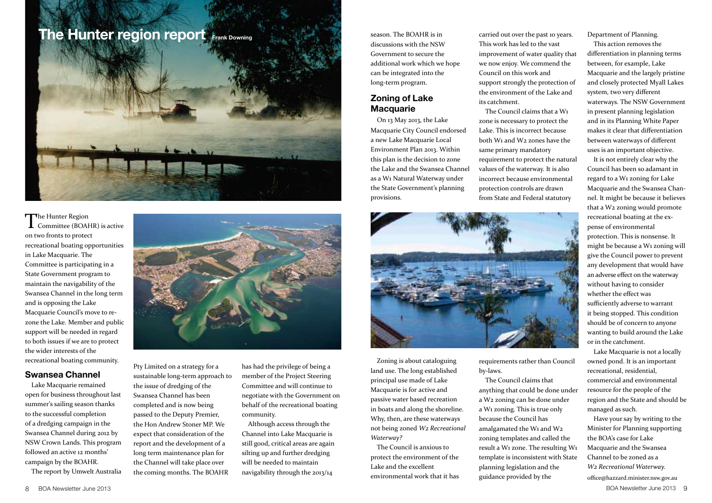## **The Hunter region report Frank Downing**

![](_page_4_Picture_1.jpeg)

The Hunter Region **L** Committee (BOAHR) is active on two fronts to protect recreational boating opportunities in Lake Macquarie. The Committee is participating in a State Government program to maintain the navigability of the Swansea Channel in the long term and is opposing the Lake Macquarie Council's move to rezone the Lake. Member and public support will be needed in regard to both issues if we are to protect the wider interests of the recreational boating community.

### **Swansea Channel**

Lake Macquarie remained open for business throughout last summer's sailing season thanks to the successful completion of a dredging campaign in the Swansea Channel during 2012 by NSW Crown Lands. This program followed an active 12 months' campaign by the BOAHR.

The report by Umwelt Australia

![](_page_4_Picture_6.jpeg)

Pty Limited on a strategy for a sustainable long-term approach to the issue of dredging of the Swansea Channel has been completed and is now being passed to the Deputy Premier, the Hon Andrew Stoner MP. We expect that consideration of the report and the development of a long term maintenance plan for the Channel will take place over the coming months. The BOAHR

has had the privilege of being a member of the Project Steering Committee and will continue to negotiate with the Government on behalf of the recreational boating community.

Although access through the Channel into Lake Macquarie is still good, critical areas are again silting up and further dredging will be needed to maintain navigability through the 2013/14

season. The BOAHR is in discussions with the NSW Government to secure the additional work which we hope can be integrated into the long-term program.

## **Zoning of Lake Macquarie**

On 13 May 2013, the Lake Macquarie City Council endorsed a new Lake Macquarie Local Environment Plan 2013. Within this plan is the decision to zone the Lake and the Swansea Channel as a W1 Natural Waterway under the State Government's planning provisions.

![](_page_4_Picture_13.jpeg)

Zoning is about cataloguing land use. The long established principal use made of Lake Macquarie is for active and passive water based recreation in boats and along the shoreline. Why, then, are these waterways not being zoned *W2 Recreational Waterway?*

The Council is anxious to protect the environment of the Lake and the excellent environmental work that it has

requirements rather than Council by-laws.

carried out over the past 10 years. This work has led to the vast improvement of water quality that we now enjoy. We commend the Council on this work and

support strongly the protection of the environment of the Lake and

The Council claims that a W1 zone is necessary to protect the Lake. This is incorrect because both W1 and W2 zones have the same primary mandatory

requirement to protect the natural values of the waterway. It is also incorrect because environmental protection controls are drawn from State and Federal statutory

its catchment.

The Council claims that anything that could be done under a W2 zoning can be done under a W1 zoning. This is true only because the Council has amalgamated the W1 and W2 zoning templates and called the result a W1 zone. The resulting W1 template is inconsistent with State planning legislation and the guidance provided by the

Department of Planning.

This action removes the differentiation in planning terms between, for example, Lake Macquarie and the largely pristine and closely protected Myall Lakes system, two very different waterways. The NSW Government in present planning legislation and in its Planning White Paper makes it clear that differentiation between waterways of different uses is an important objective.

It is not entirely clear why the Council has been so adamant in regard to a W1 zoning for Lake Macquarie and the Swansea Channel. It might be because it believes that a W2 zoning would promote recreational boating at the expense of environmental protection. This is nonsense. It might be because a W1 zoning will give the Council power to prevent any development that would have an adverse effect on the waterway without having to consider whether the effect was sufficiently adverse to warrant it being stopped. This condition should be of concern to anyone wanting to build around the Lake or in the catchment.

Lake Macquarie is not a locally owned pond. It is an important recreational, residential, commercial and environmental resource for the people of the region and the State and should be managed as such.

Have your say by writing to the Minister for Planning supporting the BOA's case for Lake Macquarie and the Swansea Channel to be zoned as a *W2 Recreational Waterway.* office@hazzard.minister.nsw.gov.au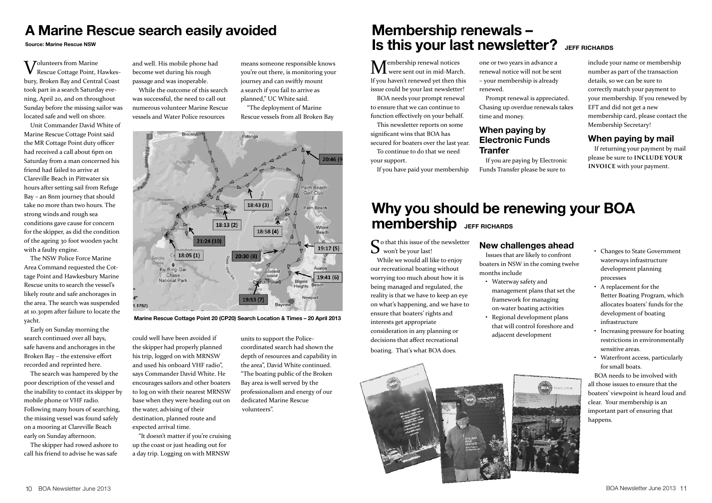## **A Marine Rescue search easily avoided**

#### **Source: Marine Rescue NSW**

V Jolunteers from Marine  $\boldsymbol{V}$  Rescue Cottage Point, Hawkesbury, Broken Bay and Central Coast took part in a search Saturday evening, April 20, and on throughout Sunday before the missing sailor was located safe and well on shore.

Unit Commander David White of Marine Rescue Cottage Point said the MR Cottage Point duty officer had received a call about 6pm on Saturday from a man concerned his friend had failed to arrive at Clareville Beach in Pittwater six hours after setting sail from Refuge Bay – an 8nm journey that should take no more than two hours. The strong winds and rough sea conditions gave cause for concern for the skipper, as did the condition of the ageing 30 foot wooden yacht with a faulty engine.

The NSW Police Force Marine Area Command requested the Cottage Point and Hawkesbury Marine Rescue units to search the vessel's likely route and safe anchorages in the area. The search was suspended at 10.30pm after failure to locate the yacht.

Early on Sunday morning the search continued over all bays, safe havens and anchorages in the Broken Bay – the extensive effort recorded and reprinted here.

The search was hampered by the poor description of the vessel and the inability to contact its skipper by mobile phone or VHF radio. Following many hours of searching, the missing vessel was found safely on a mooring at Clareville Beach early on Sunday afternoon.

The skipper had rowed ashore to call his friend to advise he was safe

and well. His mobile phone had become wet during his rough passage and was inoperable.

While the outcome of this search was successful, the need to call out numerous volunteer Marine Rescue vessels and Water Police resources

means someone responsible knows you're out there, is monitoring your journey and can swiftly mount a search if you fail to arrive as planned," UC White said.

"The deployment of Marine Rescue vessels from all Broken Bay

![](_page_5_Figure_12.jpeg)

**Marine Rescue Cottage Point 20 (CP20) Search Location & Times – 20 April 2013**

could well have been avoided if the skipper had properly planned his trip, logged on with MRNSW and used his onboard VHF radio", says Commander David White. He encourages sailors and other boaters to log on with their nearest MRNSW base when they were heading out on the water, advising of their destination, planned route and expected arrival time.

"It doesn't matter if you're cruising up the coast or just heading out for a day trip. Logging on with MRNSW

units to support the Policecoordinated search had shown the depth of resources and capability in the area", David White continued. "The boating public of the Broken Bay area is well served by the professionalism and energy of our dedicated Marine Rescue volunteers".

## **Membership renewals – Is this your last newsletter?** JEFF RICHARDS

 $\mathbf M$ embership renewal notices were sent out in mid-March. If you haven't renewed yet then this issue could be your last newsletter! BOA needs your prompt renewal to ensure that we can continue to

function effectively on your behalf. This newsletter reports on some

significant wins that BOA has secured for boaters over the last year.

To continue to do that we need your support.

If you have paid your membership

one or two years in advance a renewal notice will not be sent – your membership is already renewed.

Prompt renewal is appreciated. Chasing up overdue renewals takes time and money.

## **When paying by Electronic Funds Tranfer**

If you are paying by Electronic Funds Transfer please be sure to

include your name or membership number as part of the transaction details, so we can be sure to correctly match your payment to your membership. If you renewed by EFT and did not get a new membership card, please contact the Membership Secretary!

## **When paying by mail**

If returning your payment by mail please be sure to **include your invoice** with your payment.

## **Why you should be renewing your BOA membership** JEFF RICHARDS

 $\bigcap$  o that this issue of the newsletter  $\sum$  won't be your last!

While we would all like to enjoy our recreational boating without worrying too much about how it is being managed and regulated, the reality is that we have to keep an eye on what's happening, and we have to ensure that boaters' rights and interests get appropriate consideration in any planning or decisions that affect recreational boating. That's what BOA does.

### **New challenges ahead**

Issues that are likely to confront boaters in NSW in the coming twelve months include

- Waterway safety and management plans that set the framework for managing on-water boating activities
- Regional development plans that will control foreshore and adjacent development
- Changes to State Government waterways infrastructure development planning processes
- A replacement for the Better Boating Program, which allocates boaters' funds for the development of boating infrastructure
- Increasing pressure for boating restrictions in environmentally sensitive areas.
- Waterfront access, particularly for small boats.

BOA needs to be involved with all those issues to ensure that the boaters' viewpoint is heard loud and clear. Your membership is an important part of ensuring that happens.

![](_page_5_Picture_42.jpeg)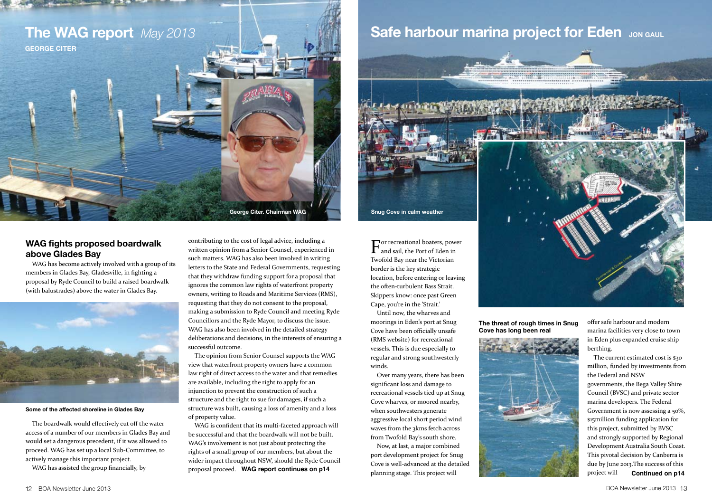![](_page_6_Picture_0.jpeg)

### **WAG fights proposed boardwalk above Glades Bay**

WAG has become actively involved with a group of its members in Glades Bay, Gladesville, in fighting a proposal by Ryde Council to build a raised boardwalk (with balustrades) above the water in Glades Bay.

![](_page_6_Picture_3.jpeg)

**Some of the affected shoreline in Glades Bay**

The boardwalk would effectively cut off the water access of a number of our members in Glades Bay and would set a dangerous precedent, if it was allowed to proceed. WAG has set up a local Sub-Committee, to actively manage this important project.

WAG has assisted the group financially, by

contributing to the cost of legal advice, including a written opinion from a Senior Counsel, experienced in such matters. WAG has also been involved in writing letters to the State and Federal Governments, requesting that they withdraw funding support for a proposal that ignores the common law rights of waterfront property owners, writing to Roads and Maritime Services (RMS), requesting that they do not consent to the proposal, making a submission to Ryde Council and meeting Ryde Councillors and the Ryde Mayor, to discuss the issue. WAG has also been involved in the detailed strategy deliberations and decisions, in the interests of ensuring a successful outcome.

**George Citer. Chairman WAG**

The opinion from Senior Counsel supports the WAG view that waterfront property owners have a common law right of direct access to the water and that remedies are available, including the right to apply for an injunction to prevent the construction of such a structure and the right to sue for damages, if such a structure was built, causing a loss of amenity and a loss of property value.

WAG is confident that its multi-faceted approach will be successful and that the boardwalk will not be built. WAG's involvement is not just about protecting the rights of a small group of our members, but about the wider impact throughout NSW, should the Ryde Council proposal proceed. **WAG report continues on p14**

# **The WAG report** *May 2013* **And Safe harbour marina project for Eden Jon GAUL**

![](_page_6_Picture_11.jpeg)

**The threat of rough times in Snug Cove has long been real**

Until now, the wharves and moorings in Eden's port at Snug Cove have been officially unsafe (RMS website) for recreational vessels. This is due especially to regular and strong southwesterly

Over many years, there has been significant loss and damage to recreational vessels tied up at Snug Cove wharves, or moored nearby, when southwesters generate aggressive local short period wind waves from the 3kms fetch across from Twofold Bay's south shore. Now, at last, a major combined port development project for Snug

planning stage. This project will

winds.

![](_page_6_Picture_13.jpeg)

offer safe harbour and modern marina facilities very close to town in Eden plus expanded cruise ship berthing.

The current estimated cost is \$30 million, funded by investments from the Federal and NSW

governments, the Bega Valley Shire Council (BVSC) and private sector marina developers. The Federal Government is now assessing a 50%, \$15million funding application for this project, submitted by BVSC and strongly supported by Regional Development Australia South Coast. This pivotal decision by Canberra is due by June 2013.The success of this project will **Continued on p14**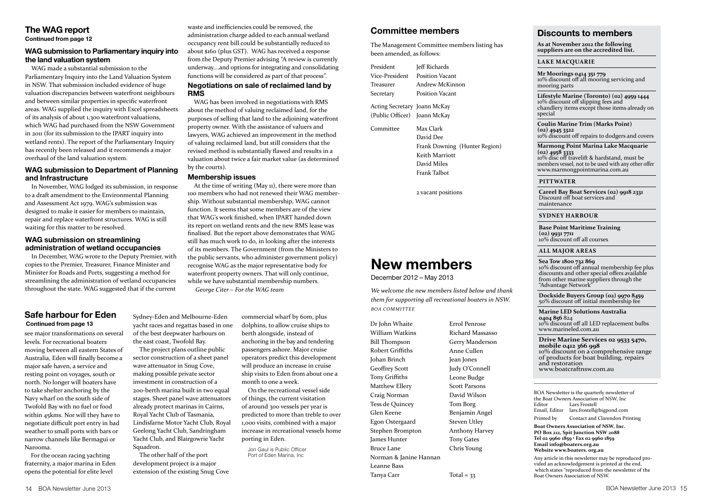#### **The WAG report Continued from page 12**

### **WAG submission to Parliamentary inquiry into the land valuation system**

WAG made a substantial submission to the Parliamentary Inquiry into the Land Valuation System in NSW. That submission included evidence of huge valuation discrepancies between waterfront neighbours and between similar properties in specific waterfront areas. WAG supplied the inquiry with Excel spreadsheets of its analysis of about 1,300 waterfront valuations, which WAG had purchased from the NSW Government in 2011 (for its submission to the IPART inquiry into wetland rents). The report of the Parliamentary Inquiry has recently been released and it recommends a major overhaul of the land valuation system.

### **WAG submission to Department of Planning and Infrastructure**

In November, WAG lodged its submission, in response to a draft amendment to the Environmental Planning and Assessment Act 1979. WAG's submission was designed to make it easier for members to maintain, repair and replace waterfront structures. WAG is still waiting for this matter to be resolved.

### **WAG submission on streamlining administration of wetland occupancies**

In December, WAG wrote to the Deputy Premier, with copies to the Premier, Treasurer, Finance Minister and Minister for Roads and Ports, suggesting a method for streamlining the administration of wetland occupancies throughout the state. WAG suggested that if the current

### **Safe harbour for Eden Continued from page 13**

see major transformations on several levels. For recreational boaters moving between all eastern States of Australia, Eden will finally become a major safe haven, a service and resting point on voyages, south or north. No longer will boaters have to take shelter anchoring by the Navy wharf on the south side of Twofold Bay with no fuel or food within 45kms. Nor will they have to negotiate difficult port entry in bad weather to small ports with bars or narrow channels like Bermagui or Narooma.

For the ocean racing yachting fraternity, a major marina in Eden opens the potential for elite level

Sydney-Eden and Melbourne-Eden yacht races and regattas based in one of the best deepwater harbours on the east coast, Twofold Bay.

The project plans outline public sector construction of a sheet panel wave attenuator in Snug Cove, making possible private sector investment in construction of a 200-berth marina built in two equal stages. Sheet panel wave attenuators already protect marinas in Cairns, Royal Yacht Club of Tasmania, Lindisfarne Motor Yacht Club, Royal Geelong Yacht Club, Sandringham Yacht Club, and Blairgowrie Yacht Squadron.

The other half of the port development project is a major extension of the existing Snug Cove

waste and inefficiencies could be removed, the administration charge added to each annual wetland occupancy rent bill could be substantially reduced to about \$160 (plus GST). WAG has received a response from the Deputy Premier advising "A review is currently underway….and options for integrating and consolidating functions will be considered as part of that process". **Negotiations on sale of reclaimed land by RMS**

WAG has been involved in negotiations with RMS about the method of valuing reclaimed land, for the purposes of selling that land to the adjoining waterfront property owner. With the assistance of valuers and lawyers, WAG achieved an improvement in the method of valuing reclaimed land, but still considers that the revised method is substantially flawed and results in a valuation about twice a fair market value (as determined by the courts).

### **Membership issues**

At the time of writing (May 11), there were more than 100 members who had not renewed their WAG membership. Without substantial membership, WAG cannot function. It seems that some members are of the view that WAG's work finished, when IPART handed down its report on wetland rents and the new RMS lease was finalised. But the report above demonstrates that WAG still has much work to do, in looking after the interests of its members. The Government (from the Ministers to the public servants, who administer government policy) recognise WAG as the major representative body for waterfront property owners. That will only continue, while we have substantial membership numbers. *George Citer – For the WAG team*

> commercial wharf by 60m, plus dolphins, to allow cruise ships to berth alongside, instead of anchoring in the bay and tendering passengers ashore. Major cruise operators predict this development will produce an increase in cruise ship visits to Eden from about one a month to one a week.

On the recreational vessel side of things, the current visitation of around 300 vessels per year is predicted to more than treble to over 1,000 visits, combined with a major increase in recreational vessels home porting in Eden.

Jon Gaul is Public Officer Port of Eden Marina, Inc

### **Committee members**

The Management Committee members listing has been amended, as follows:

| President      | Jeff Richards          |
|----------------|------------------------|
| Vice-President | <b>Position Vacant</b> |
| Treasurer      | Andrew McKinnon        |
| Secretary      | <b>Position Vacant</b> |
|                |                        |

Acting Secretary Joann McKay (Public Officer) Joann McKay

Committee Max Clark David Dee Frank Downing (Hunter Region) Keith Marriott David Miles Frank Talbot

2 vacant positions

# **New members**

December 2012 – May 2013

*We welcome the new members listed below and thank them for supporting all recreational boaters in NSW. BOA Committee*

Dr John Whaite William Watkins Bill Thompson Robert Griffiths Johan Brinch Geoffrey Scott Tony Griffiths Matthew Ellery Craig Norman Tess de Quincey Glen Keene Egon Ostergaard Stephen Brompton James Hunter Bruce Lane Norman & Janine Hannan Leanne Bass Tanya Carr

Errol Penrose Richard Massasso Gerry Manderson Anne Cullen Jean Jones Judy O'Connell Leone Budge Scott Parsons David Wilson Tom Borg Benjamin Angel Steven Utley Anthony Harvey Tony Gates Chris Young

 $Total = 33$ 

### **Discounts to members**

**As at November 2012 the following suppliers are on the accredited list.**

**Lake Macquarie**

**Mr Moorings 0414 351 779** 10% discount off all mooring servicing and mooring parts

**Lifestyle Marine (Toronto) (02) 4959 1444** 10% discount off slipping fees and chandlery items except those items already on special

**Coulin Marine Trim (Marks Point) (02) 4945 3322** 10% discount off repairs to dodgers and covers

**Marmong Point Marina Lake Macquarie (02) 4958 3333**  10% disc off travelift & hardstand, must be members vessel, not to be used with any other offer www.marmongpointmarina.com.au

#### **Pittwater**

**Careel Bay Boat Services (02) 9918 2331** Discount off boat services and maintenance

**Sydney harbour**

**Base Point Maritime Training (02) 9931 7711** 10% discount off all courses

**all major areas**

**Sea Tow 1800 732 869** 10% discount off annual membership fee plus discounts and other special offers available from other marine suppliers through the "Advantage Network"

**Dockside Buyers Group (02) 9970 8459** 50% discount off initial membership fee

**Marine LED Solutions Australia 0404 856** 824 10% discount off all LED replacement bulbs www.marineled.com.au

**Drive Marine Services 02 9533 5470, mobile 0412 366 998** 10% discount on a comprehensive range of products for boat building, repairs and restoration www.boatcraftnsw.com.au

BOA Newsletter is the quarterly newsletter of the Boat Owners Association of NSW, Inc Editor Lars Frostell<br>Email, Editor lars.frostell@ lars.frostell@bigpond.com

Printed by Contact and Clarendon Printing **Boat Owners Association of NSW, Inc. PO Box 212, Spit Junction NSW 2088 Tel 02 9960 1859 • Fax 02 9960 1859** 

**Email info@boaters.org.au Website www.boaters. org.au**  Any article in this newsletter may be reproduced pro-

vided an acknowledgement is printed at the end, which states "reproduced from the newsletter of the Boat Owners Association of NSW.